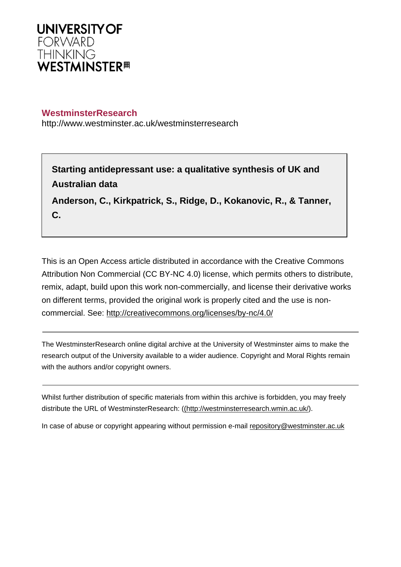

## **WestminsterResearch**

http://www.westminster.ac.uk/westminsterresearch

**Starting antidepressant use: a qualitative synthesis of UK and Australian data**

**Anderson, C., Kirkpatrick, S., Ridge, D., Kokanovic, R., & Tanner, C.**

This is an Open Access article distributed in accordance with the Creative Commons Attribution Non Commercial (CC BY-NC 4.0) license, which permits others to distribute, remix, adapt, build upon this work non-commercially, and license their derivative works on different terms, provided the original work is properly cited and the use is noncommercial. See: <http://creativecommons.org/licenses/by-nc/4.0/>

The WestminsterResearch online digital archive at the University of Westminster aims to make the research output of the University available to a wider audience. Copyright and Moral Rights remain with the authors and/or copyright owners.

Whilst further distribution of specific materials from within this archive is forbidden, you may freely distribute the URL of WestminsterResearch: [\(\(http://westminsterresearch.wmin.ac.uk/](http://westminsterresearch.wmin.ac.uk/)).

In case of abuse or copyright appearing without permission e-mail <repository@westminster.ac.uk>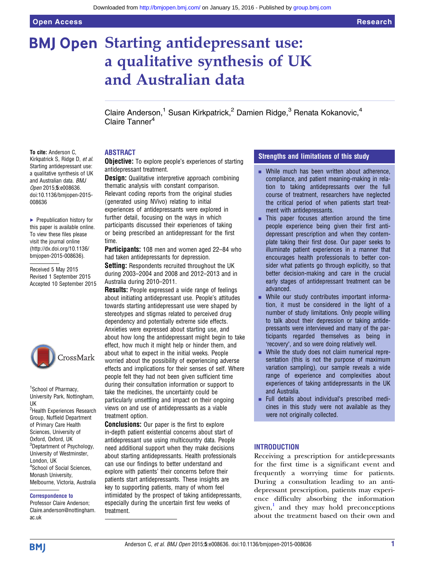# **BMJ Open Starting antidepressant use:** a qualitative synthesis of UK and Australian data

Claire Anderson,<sup>1</sup> Susan Kirkpatrick,<sup>2</sup> Damien Ridge,<sup>3</sup> Renata Kokanovic,<sup>4</sup> Claire Tanner<sup>4</sup>

#### ABSTRACT

Kirkpatrick S, Ridge D, et al. Starting antidepressant use: a qualitative synthesis of UK and Australian data. BMJ Open 2015;5:e008636. doi:10.1136/bmjopen-2015- 008636

To cite: Anderson C,

▶ Prepublication history for this paper is available online. To view these files please visit the journal online [\(http://dx.doi.org/10.1136/](http://dx.doi.org/10.1136/bmjopen-2015-008636) [bmjopen-2015-008636](http://dx.doi.org/10.1136/bmjopen-2015-008636)).

Received 5 May 2015 Revised 1 September 2015 Accepted 10 September 2015



1 School of Pharmacy, University Park, Nottingham, UK <sup>2</sup>Health Experiences Research Group, Nuffield Department of Primary Care Health Sciences, University of Oxford, Oxford, UK <sup>3</sup>Deptartment of Psychology, University of Westminster, London, UK 4 School of Social Sciences, Monash University, Melbourne, Victoria, Australia

#### Correspondence to

Professor Claire Anderson; Claire.anderson@nottingham. ac.uk

**Objective:** To explore people's experiences of starting antidepressant treatment.

**Design:** Qualitative interpretive approach combining thematic analysis with constant comparison. Relevant coding reports from the original studies (generated using NVivo) relating to initial experiences of antidepressants were explored in further detail, focusing on the ways in which participants discussed their experiences of taking or being prescribed an antidepressant for the first time.

Participants: 108 men and women aged 22–84 who had taken antidepressants for depression.

**Setting:** Respondents recruited throughout the UK during 2003–2004 and 2008 and 2012–2013 and in Australia during 2010–2011.

Results: People expressed a wide range of feelings about initiating antidepressant use. People's attitudes towards starting antidepressant use were shaped by stereotypes and stigmas related to perceived drug dependency and potentially extreme side effects. Anxieties were expressed about starting use, and about how long the antidepressant might begin to take effect, how much it might help or hinder them, and about what to expect in the initial weeks. People worried about the possibility of experiencing adverse effects and implications for their senses of self. Where people felt they had not been given sufficient time during their consultation information or support to take the medicines, the uncertainty could be particularly unsettling and impact on their ongoing views on and use of antidepressants as a viable treatment option.

**Conclusions:** Our paper is the first to explore in-depth patient existential concerns about start of antidepressant use using multicountry data. People need additional support when they make decisions about starting antidepressants. Health professionals can use our findings to better understand and explore with patients' their concerns before their patients start antidepressants. These insights are key to supporting patients, many of whom feel intimidated by the prospect of taking antidepressants, especially during the uncertain first few weeks of treatment.

#### Strengths and limitations of this study

- $\blacksquare$  While much has been written about adherence, compliance, and patient meaning-making in relation to taking antidepressants over the full course of treatment, researchers have neglected the critical period of when patients start treatment with antidepressants.
- $\blacksquare$  This paper focuses attention around the time people experience being given their first antidepressant prescription and when they contemplate taking their first dose. Our paper seeks to illuminate patient experiences in a manner that encourages health professionals to better consider what patients go through explicitly, so that better decision-making and care in the crucial early stages of antidepressant treatment can be advanced.
- **E** While our study contributes important information, it must be considered in the light of a number of study limitations. Only people willing to talk about their depression or taking antidepressants were interviewed and many of the participants regarded themselves as being in 'recovery', and so were doing relatively well.
- While the study does not claim numerical representation (this is not the purpose of maximum variation sampling), our sample reveals a wide range of experience and complexities about experiences of taking antidepressants in the UK and Australia.
- **E** Full details about individual's prescribed medicines in this study were not available as they were not originally collected.

#### **INTRODUCTION**

Receiving a prescription for antidepressants for the first time is a significant event and frequently a worrying time for patients. During a consultation leading to an antidepressant prescription, patients may experience difficulty absorbing the information given, $\frac{1}{2}$  and they may hold preconceptions about the treatment based on their own and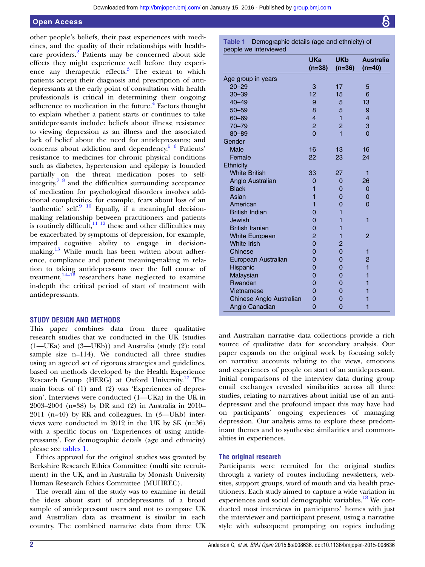#### Open Access

other people's beliefs, their past experiences with medicines, and the quality of their relationships with healthcare providers.<sup>2</sup> Patients may be concerned about side effects they might experience well before they experience any therapeutic effects.<sup>3</sup> The extent to which patients accept their diagnosis and prescription of antidepressants at the early point of consultation with health professionals is critical in determining their ongoing adherence to medication in the future. $4$  Factors thought to explain whether a patient starts or continues to take antidepressants include: beliefs about illness; resistance to viewing depression as an illness and the associated lack of belief about the need for antidepressants; and concerns about addiction and dependency.5 6 Patients' resistance to medicines for chronic physical conditions such as diabetes, hypertension and epilepsy is founded partially on the threat medication poses to selfintegrity,7 8 and the difficulties surrounding acceptance of medication for psychological disorders involves additional complexities, for example, fears about loss of an 'authentic' self.<sup>9</sup> <sup>10</sup> Equally, if a meaningful decisionmaking relationship between practitioners and patients is routinely difficult, $\frac{1}{11}$  12 these and other difficulties may be exacerbated by symptoms of depression, for example, impaired cognitive ability to engage in decisionmaking.<sup>13</sup> While much has been written about adherence, compliance and patient meaning-making in relation to taking antidepressants over the full course of treatment, $14-\overline{16}$  researchers have neglected to examine in-depth the critical period of start of treatment with antidepressants.

#### STUDY DESIGN AND METHODS

This paper combines data from three qualitative research studies that we conducted in the UK (studies (1—UKa) and (3—UKb)) and Australia (study (2); total sample size n=114). We conducted all three studies using an agreed set of rigorous strategies and guidelines, based on methods developed by the Health Experience Research Group (HERG) at Oxford University.<sup>17</sup> The main focus of (1) and (2) was 'Experiences of depression'. Interviews were conducted (1—UKa) in the UK in 2003–2004 (n=38) by DR and (2) in Australia in 2010– 2011 (n=40) by RK and colleagues. In (3—UKb) interviews were conducted in 2012 in the UK by SK (n=36) with a specific focus on 'Experiences of using antidepressants'. For demographic details (age and ethnicity) please see tables 1.

Ethics approval for the original studies was granted by Berkshire Research Ethics Committee (multi site recruitment) in the UK, and in Australia by Monash University Human Research Ethics Committee (MUHREC).

The overall aim of the study was to examine in detail the ideas about start of antidepressants of a broad sample of antidepressant users and not to compare UK and Australian data as treatment is similar in each country. The combined narrative data from three UK Table 1 Demographic details (age and ethnicity) of people we interviewed

|                          | <b>UKa</b><br>$(n=38)$ | <b>UKb</b><br>$(n=36)$ | <b>Australia</b><br>$(n=40)$ |
|--------------------------|------------------------|------------------------|------------------------------|
| Age group in years       |                        |                        |                              |
| $20 - 29$                | 3                      | 17                     | 5                            |
| $30 - 39$                | 12                     | 15                     | 6                            |
| $40 - 49$                | 9                      | 5                      | 13                           |
| $50 - 59$                | 8                      | 5                      | 9                            |
| 60-69                    | $\overline{4}$         | 1                      | $\overline{4}$               |
| $70 - 79$                | $\overline{c}$         | $\overline{c}$         | 3                            |
| $80 - 89$                | $\overline{0}$         | 1                      | $\overline{0}$               |
| Gender                   |                        |                        |                              |
| <b>Male</b>              | 16                     | 13                     | 16                           |
| Female                   | 22                     | 23                     | 24                           |
| Ethnicity                |                        |                        |                              |
| <b>White British</b>     | 33                     | 27                     | 1                            |
| Anglo Australian         | $\overline{0}$         | $\Omega$               | 26                           |
| <b>Black</b>             | 1                      | 0                      | 0                            |
| Asian                    | 1                      | $\mathbf 0$            | 0                            |
| American                 | 1                      | 0                      | $\overline{0}$               |
| <b>British Indian</b>    | $\overline{0}$         | 1                      |                              |
| Jewish                   | $\overline{0}$         | 1                      | 1                            |
| <b>British Iranian</b>   | $\overline{0}$         | 1                      |                              |
| <b>White European</b>    | $\overline{2}$         | 1                      | $\overline{2}$               |
| <b>White Irish</b>       | $\overline{0}$         | 2                      |                              |
| Chinese                  | $\overline{0}$         | 0                      | 1                            |
| European Australian      | $\overline{0}$         | $\overline{0}$         | $\overline{2}$               |
| Hispanic                 | $\overline{0}$         | $\mathbf 0$            | 1                            |
| Malaysian                | $\overline{0}$         | $\overline{0}$         | 1                            |
| Rwandan                  | 0                      | 0                      | 1                            |
| Vietnamese               | $\overline{0}$         | $\overline{0}$         | 1                            |
| Chinese Anglo Australian | 0                      | 0                      | 1                            |
| Anglo Canadian           | $\overline{0}$         | $\overline{0}$         | 1                            |

and Australian narrative data collections provide a rich source of qualitative data for secondary analysis. Our paper expands on the original work by focusing solely on narrative accounts relating to the views, emotions and experiences of people on start of an antidepressant. Initial comparisons of the interview data during group email exchanges revealed similarities across all three studies, relating to narratives about initial use of an antidepressant and the profound impact this may have had on participants' ongoing experiences of managing depression. Our analysis aims to explore these predominant themes and to synthesise similarities and commonalities in experiences.

#### The original research

Participants were recruited for the original studies through a variety of routes including newsletters, websites, support groups, word of mouth and via health practitioners. Each study aimed to capture a wide variation in experiences and social demographic variables.<sup>18</sup> We conducted most interviews in participants' homes with just the interviewer and participant present, using a narrative style with subsequent prompting on topics including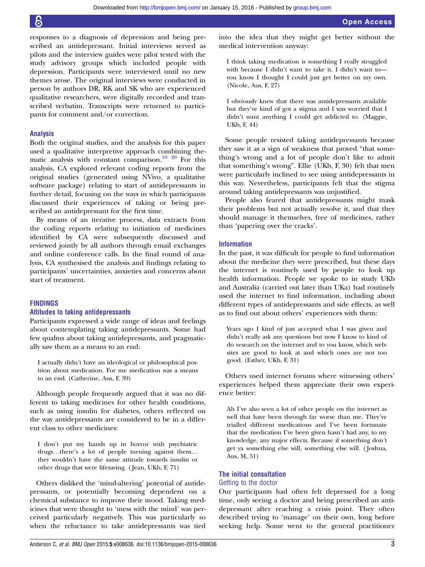responses to a diagnosis of depression and being prescribed an antidepressant. Initial interviews served as pilots and the interview guides were pilot tested with the study advisory groups which included people with depression. Participants were interviewed until no new themes arose. The original interviews were conducted in person by authors DR, RK and SK who are experienced qualitative researchers, were digitally recorded and transcribed verbatim. Transcripts were returned to participants for comment and/or correction.

#### Analysis

Both the original studies, and the analysis for this paper used a qualitative interpretive approach combining thematic analysis with constant comparison.<sup>19</sup> <sup>20</sup> For this analysis, CA explored relevant coding reports from the original studies (generated using NVivo, a qualitative software package) relating to start of antidepressants in further detail, focusing on the ways in which participants discussed their experiences of taking or being prescribed an antidepressant for the first time.

By means of an iterative process, data extracts from the coding reports relating to initiation of medicines identified by CA were subsequently discussed and reviewed jointly by all authors through email exchanges and online conference calls. In the final round of analysis, CA synthesised the analysis and findings relating to participants' uncertainties, anxieties and concerns about start of treatment.

#### FINDINGS

#### Attitudes to taking antidepressants

Participants expressed a wide range of ideas and feelings about contemplating taking antidepressants. Some had few qualms about taking antidepressants, and pragmatically saw them as a means to an end:

I actually didn't have an ideological or philosophical position about medication. For me medication was a means to an end. (Catherine, Aus, F, 39)

Although people frequently argued that it was no different to taking medicines for other health conditions, such as using insulin for diabetes, others reflected on the way antidepressants are considered to be in a different class to other medicines:

I don't put my hands up in horror with psychiatric drugs…there's a lot of people turning against them… they wouldn't have the same attitude towards insulin or other drugs that were lifesaving. ( Jean, UKb, F, 71)

Others disliked the 'mind-altering' potential of antidepressants, or potentially becoming dependent on a chemical substance to improve their mood. Taking medicines that were thought to 'mess with the mind' was perceived particularly negatively. This was particularly so when the reluctance to take antidepressants was tied into the idea that they might get better without the medical intervention anyway:

I think taking medication is something I really struggled with because I didn't want to take it. I didn't want to you know I thought I could just get better on my own. (Nicole, Aus, F, 27)

I obviously knew that there was antidepressants available but they've kind of got a stigma and I was worried that I didn't want anything I could get addicted to. (Maggie, UKb, F, 44)

Some people resisted taking antidepressants because they saw it as a sign of weakness that proved "that something's wrong and a lot of people don't like to admit that something's wrong". Ellie (UKb, F, 30) felt that men were particularly inclined to see using antidepressants in this way. Nevertheless, participants felt that the stigma around taking antidepressants was unjustified.

People also feared that antidepressants might mask their problems but not actually resolve it, and that they should manage it themselves, free of medicines, rather than 'papering over the cracks'.

#### Information

In the past, it was difficult for people to find information about the medicine they were prescribed, but these days the internet is routinely used by people to look up health information. People we spoke to in study UKb and Australia (carried out later than UKa) had routinely used the internet to find information, including about different types of antidepressants and side effects, as well as to find out about others' experiences with them:

Years ago I kind of just accepted what I was given and didn't really ask any questions but now I know to kind of do research on the internet and to you know, which websites are good to look at and which ones are not too good. (Esther, UKb, F, 31)

Others used internet forums where witnessing others' experiences helped them appreciate their own experience better:

Ah I've also seen a lot of other people on the internet as well that have been through far worse than me. They've trialled different medications and I've been fortunate that the medication I've been given hasn't had any, to my knowledge, any major effects. Because if something don't get ya something else will, something else will. ( Joshua, Aus, M, 51)

#### The initial consultation

#### Getting to the doctor

Our participants had often felt depressed for a long time, only seeing a doctor and being prescribed an antidepressant after reaching a crisis point. They often described trying to 'manage' on their own, long before seeking help. Some went to the general practitioner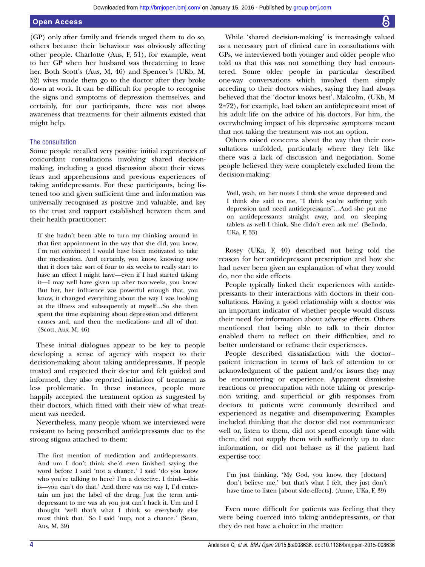#### Open Access

(GP) only after family and friends urged them to do so, others because their behaviour was obviously affecting other people. Charlotte (Aus, F, 51), for example, went to her GP when her husband was threatening to leave her. Both Scott's (Aus, M, 46) and Spencer's (UKb, M, 52) wives made them go to the doctor after they broke down at work. It can be difficult for people to recognise the signs and symptoms of depression themselves, and certainly, for our participants, there was not always awareness that treatments for their ailments existed that might help.

#### The consultation

Some people recalled very positive initial experiences of concordant consultations involving shared decisionmaking, including a good discussion about their views, fears and apprehensions and previous experiences of taking antidepressants. For these participants, being listened too and given sufficient time and information was universally recognised as positive and valuable, and key to the trust and rapport established between them and their health practitioner:

If she hadn't been able to turn my thinking around in that first appointment in the way that she did, you know, I'm not convinced I would have been motivated to take the medication. And certainly, you know, knowing now that it does take sort of four to six weeks to really start to have an effect I might have—even if I had started taking it—I may well have given up after two weeks, you know. But her, her influence was powerful enough that, you know, it changed everything about the way I was looking at the illness and subsequently at myself…So she then spent the time explaining about depression and different causes and, and then the medications and all of that. (Scott, Aus, M, 46)

These initial dialogues appear to be key to people developing a sense of agency with respect to their decision-making about taking antidepressants. If people trusted and respected their doctor and felt guided and informed, they also reported initiation of treatment as less problematic. In these instances, people more happily accepted the treatment option as suggested by their doctors, which fitted with their view of what treatment was needed.

Nevertheless, many people whom we interviewed were resistant to being prescribed antidepressants due to the strong stigma attached to them:

The first mention of medication and antidepressants. And um I don't think she'd even finished saying the word before I said 'not a chance.' I said 'do you know who you're talking to here? I'm a detective. I think—this is—you can't do that.' And there was no way I, I'd entertain um just the label of the drug. Just the term antidepressant to me was ah you just can't hack it. Um and I thought 'well that's what I think so everybody else must think that.' So I said 'nup, not a chance.' (Sean, Aus, M, 39)

While 'shared decision-making' is increasingly valued as a necessary part of clinical care in consultations with GPs, we interviewed both younger and older people who told us that this was not something they had encountered. Some older people in particular described one-way conversations which involved them simply acceding to their doctors wishes, saying they had always believed that the 'doctor knows best'. Malcolm, (UKb, M 2=72), for example, had taken an antidepressant most of his adult life on the advice of his doctors. For him, the overwhelming impact of his depressive symptoms meant that not taking the treatment was not an option.

Others raised concerns about the way that their consultations unfolded, particularly where they felt like there was a lack of discussion and negotiation. Some people believed they were completely excluded from the decision-making:

Well, yeah, on her notes I think she wrote depressed and I think she said to me, "I think you're suffering with depression and need antidepressants"…And she put me on antidepressants straight away, and on sleeping tablets as well I think. She didn't even ask me! (Belinda, UKa, F, 33)

Rosey (UKa, F, 40) described not being told the reason for her antidepressant prescription and how she had never been given an explanation of what they would do, nor the side effects.

People typically linked their experiences with antidepressants to their interactions with doctors in their consultations. Having a good relationship with a doctor was an important indicator of whether people would discuss their need for information about adverse effects. Others mentioned that being able to talk to their doctor enabled them to reflect on their difficulties, and to better understand or reframe their experiences.

People described dissatisfaction with the doctor– patient interaction in terms of lack of attention to or acknowledgment of the patient and/or issues they may be encountering or experience. Apparent dismissive reactions or preoccupation with note taking or prescription writing, and superficial or glib responses from doctors to patients were commonly described and experienced as negative and disempowering. Examples included thinking that the doctor did not communicate well or, listen to them, did not spend enough time with them, did not supply them with sufficiently up to date information, or did not behave as if the patient had expertise too:

I'm just thinking, 'My God, you know, they [doctors] don't believe me,' but that's what I felt, they just don't have time to listen [about side-effects]. (Anne, UKa, F, 39)

Even more difficult for patients was feeling that they were being coerced into taking antidepressants, or that they do not have a choice in the matter: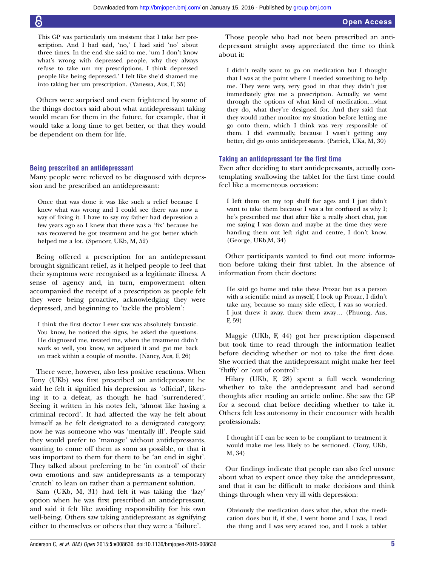This GP was particularly um insistent that I take her prescription. And I had said, 'no,' I had said 'no' about three times. In the end she said to me, 'um I don't know what's wrong with depressed people, why they always refuse to take um my prescriptions. I think depressed people like being depressed.' I felt like she'd shamed me into taking her um prescription. (Vanessa, Aus, F, 35)

Others were surprised and even frightened by some of the things doctors said about what antidepressant taking would mean for them in the future, for example, that it would take a long time to get better, or that they would be dependent on them for life.

#### Being prescribed an antidepressant

Many people were relieved to be diagnosed with depression and be prescribed an antidepressant:

Once that was done it was like such a relief because I knew what was wrong and I could see there was now a way of fixing it. I have to say my father had depression a few years ago so I knew that there was a 'fix' because he was recovered he got treatment and he got better which helped me a lot. (Spencer, UKb, M, 52)

Being offered a prescription for an antidepressant brought significant relief, as it helped people to feel that their symptoms were recognised as a legitimate illness. A sense of agency and, in turn, empowerment often accompanied the receipt of a prescription as people felt they were being proactive, acknowledging they were depressed, and beginning to 'tackle the problem':

I think the first doctor I ever saw was absolutely fantastic. You know, he noticed the signs, he asked the questions. He diagnosed me, treated me, when the treatment didn't work so well, you know, we adjusted it and got me back on track within a couple of months. (Nancy, Aus, F, 26)

There were, however, also less positive reactions. When Tony (UKb) was first prescribed an antidepressant he said he felt it signified his depression as 'official', likening it to a defeat, as though he had 'surrendered'. Seeing it written in his notes felt, 'almost like having a criminal record'. It had affected the way he felt about himself as he felt designated to a denigrated category; now he was someone who was 'mentally ill'. People said they would prefer to 'manage' without antidepressants, wanting to come off them as soon as possible, or that it was important to them for there to be 'an end in sight'. They talked about preferring to be 'in control' of their own emotions and saw antidepressants as a temporary 'crutch' to lean on rather than a permanent solution.

Sam (UKb, M, 31) had felt it was taking the 'lazy' option when he was first prescribed an antidepressant, and said it felt like avoiding responsibility for his own well-being. Others saw taking antidepressant as signifying either to themselves or others that they were a 'failure'.

Those people who had not been prescribed an antidepressant straight away appreciated the time to think about it:

I didn't really want to go on medication but I thought that I was at the point where I needed something to help me. They were very, very good in that they didn't just immediately give me a prescription. Actually, we went through the options of what kind of medication…what they do, what they're designed for. And they said that they would rather monitor my situation before letting me go onto them, which I think was very responsible of them. I did eventually, because I wasn't getting any better, did go onto antidepressants. (Patrick, UKa, M, 30)

#### Taking an antidepressant for the first time

Even after deciding to start antidepressants, actually contemplating swallowing the tablet for the first time could feel like a momentous occasion:

I Ieft them on my top shelf for ages and I just didn't want to take them because I was a bit confused as why I; he's prescribed me that after like a really short chat, just me saying I was down and maybe at the time they were handing them out left right and centre, I don't know. (George, UKb,M, 34)

Other participants wanted to find out more information before taking their first tablet. In the absence of information from their doctors:

He said go home and take these Prozac but as a person with a scientific mind as myself, I look up Prozac, I didn't take any, because so many side effect, I was so worried. I just threw it away, threw them away… (Phuong, Aus, F, 59)

Maggie (UKb, F, 44) got her prescription dispensed but took time to read through the information leaflet before deciding whether or not to take the first dose. She worried that the antidepressant might make her feel 'fluffy' or 'out of control':

Hilary (UKb, F, 28) spent a full week wondering whether to take the antidepressant and had second thoughts after reading an article online. She saw the GP for a second chat before deciding whether to take it. Others felt less autonomy in their encounter with health professionals:

I thought if I can be seen to be compliant to treatment it would make me less likely to be sectioned. (Tony, UKb, M, 34)

Our findings indicate that people can also feel unsure about what to expect once they take the antidepressant, and that it can be difficult to make decisions and think things through when very ill with depression:

Obviously the medication does what the, what the medication does but if, if she, I went home and I was, I read the thing and I was very scared too, and I took a tablet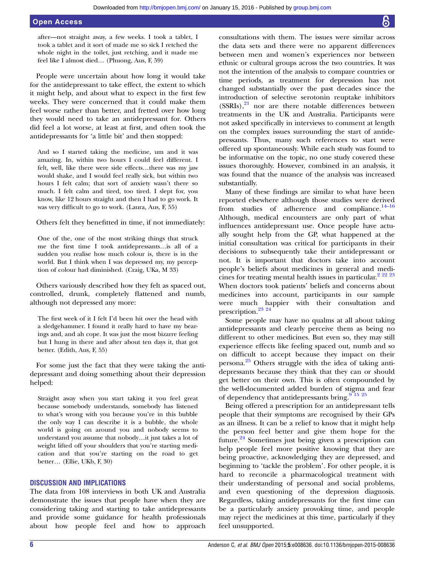after—not straight away, a few weeks. I took a tablet, I took a tablet and it sort of made me so sick I retched the whole night in the toilet, just retching, and it made me feel like I almost died… (Phuong, Aus, F, 59)

People were uncertain about how long it would take for the antidepressant to take effect, the extent to which it might help, and about what to expect in the first few weeks. They were concerned that it could make them feel worse rather than better, and fretted over how long they would need to take an antidepressant for. Others did feel a lot worse, at least at first, and often took the antidepressants for 'a little bit' and then stopped:

And so I started taking the medicine, um and it was amazing. In, within two hours I could feel different. I felt, well, like there were side effects…there was my jaw would shake, and I would feel really sick, but within two hours I felt calm; that sort of anxiety wasn't there so much. I felt calm and tired, too tired. I slept for, you know, like 12 hours straight and then I had to go work. It was very difficult to go to work. (Laura, Aus, F, 55)

Others felt they benefitted in time, if not immediately:

One of the, one of the most striking things that struck me the first time I took antidepressants…is all of a sudden you realise how much colour is, there is in the world. But I think when I was depressed my, my perception of colour had diminished. (Craig, UKa, M 33)

Others variously described how they felt as spaced out, controlled, drunk, completely flattened and numb, although not depressed any more:

The first week of it I felt I'd been hit over the head with a sledgehammer. I found it really hard to have my bearings and, and ah cope. It was just the most bizarre feeling but I hung in there and after about ten days it, that got better. (Edith, Aus, F, 55)

For some just the fact that they were taking the antidepressant and doing something about their depression helped:

Straight away when you start taking it you feel great because somebody understands, somebody has listened to what's wrong with you because you're in this bubble the only way I can describe it is a bubble, the whole world is going on around you and nobody seems to understand you assume that nobody…it just takes a lot of weight lifted off your shoulders that you're starting medication and that you're starting on the road to get better… (Ellie, UKb, F, 30)

#### DISCUSSION AND IMPLICATIONS

The data from 108 interviews in both UK and Australia demonstrate the issues that people have when they are considering taking and starting to take antidepressants and provide some guidance for health professionals about how people feel and how to approach

consultations with them. The issues were similar across the data sets and there were no apparent differences between men and women's experiences nor between ethnic or cultural groups across the two countries. It was not the intention of the analysis to compare countries or time periods, as treatment for depression has not changed substantially over the past decades since the introduction of selective serotonin reuptake inhibitors  $(SSRIs),<sup>21</sup>$  nor are there notable differences between treatments in the UK and Australia. Participants were not asked specifically in interviews to comment at length on the complex issues surrounding the start of antidepressants. Thus, many such references to start were offered up spontaneously. While each study was found to be informative on the topic, no one study covered these issues thoroughly. However, combined in an analysis, it was found that the nuance of the analysis was increased substantially.

Many of these findings are similar to what have been reported elsewhere although those studies were derived from studies of adherence and compliance.<sup>14–16</sup> Although, medical encounters are only part of what influences antidepressant use. Once people have actually sought help from the GP, what happened at the initial consultation was critical for participants in their decisions to subsequently take their antidepressant or not. It is important that doctors take into account people's beliefs about medicines in general and medicines for treating mental health issues in particular.<sup>2</sup> <sup>22</sup> <sup>23</sup> When doctors took patients' beliefs and concerns about medicines into account, participants in our sample were much happier with their consultation and prescription.<sup>23</sup> <sup>24</sup>

Some people may have no qualms at all about taking antidepressants and clearly perceive them as being no different to other medicines. But even so, they may still experience effects like feeling spaced out, numb and so on difficult to accept because they impact on their persona.25 Others struggle with the idea of taking antidepressants because they think that they can or should get better on their own. This is often compounded by the well-documented added burden of stigma and fear of dependency that antidepressants bring.  $9\frac{9}{15}$  25

Being offered a prescription for an antidepressant tells people that their symptoms are recognised by their GPs as an illness. It can be a relief to know that it might help the person feel better and give them hope for the future.<sup>24</sup> Sometimes just being given a prescription can help people feel more positive knowing that they are being proactive, acknowledging they are depressed, and beginning to 'tackle the problem'. For other people, it is hard to reconcile a pharmacological treatment with their understanding of personal and social problems, and even questioning of the depression diagnosis. Regardless, taking antidepressants for the first time can be a particularly anxiety provoking time, and people may reject the medicines at this time, particularly if they feel unsupported.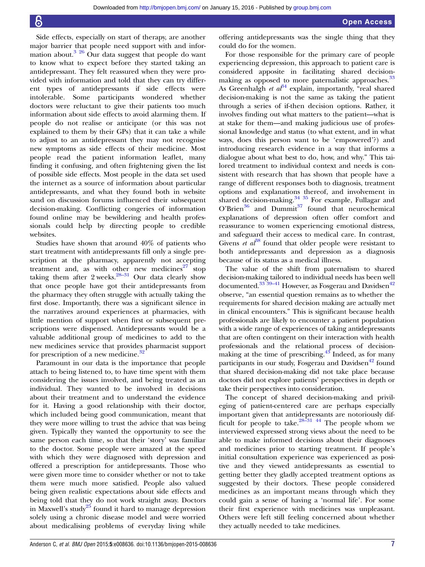Side effects, especially on start of therapy, are another major barrier that people need support with and information about.3 26 Our data suggest that people do want to know what to expect before they started taking an antidepressant. They felt reassured when they were provided with information and told that they can try different types of antidepressants if side effects were intolerable. Some participants wondered whether doctors were reluctant to give their patients too much information about side effects to avoid alarming them. If people do not realise or anticipate (or this was not explained to them by their GPs) that it can take a while to adjust to an antidepressant they may not recognise new symptoms as side effects of their medicine. Most people read the patient information leaflet, many finding it confusing, and often frightening given the list of possible side effects. Most people in the data set used the internet as a source of information about particular antidepressants, and what they found both in website sand on discussion forums influenced their subsequent decision-making. Conflicting congeries of information found online may be bewildering and health professionals could help by directing people to credible websites.

Studies have shown that around 40% of patients who start treatment with antidepressants fill only a single prescription at the pharmacy, apparently not accepting treatment and, as with other new medicines $27$  stop taking them after 2 weeks. $28-31$  Our data clearly show that once people have got their antidepressants from the pharmacy they often struggle with actually taking the first dose. Importantly, there was a significant silence in the narratives around experiences at pharmacies, with little mention of support when first or subsequent prescriptions were dispensed. Antidepressants would be a valuable additional group of medicines to add to the new medicines service that provides pharmacist support for prescription of a new medicine.<sup>32</sup>

Paramount in our data is the importance that people attach to being listened to, to have time spent with them considering the issues involved, and being treated as an individual. They wanted to be involved in decisions about their treatment and to understand the evidence for it. Having a good relationship with their doctor, which included being good communication, meant that they were more willing to trust the advice that was being given. Typically they wanted the opportunity to see the same person each time, so that their 'story' was familiar to the doctor. Some people were amazed at the speed with which they were diagnosed with depression and offered a prescription for antidepressants. Those who were given more time to consider whether or not to take them were much more satisfied. People also valued being given realistic expectations about side effects and being told that they do not work straight away. Doctors in Maxwell's study<sup>25</sup> found it hard to manage depression solely using a chronic disease model and were worried about medicalising problems of everyday living while

offering antidepressants was the single thing that they could do for the women.

For those responsible for the primary care of people experiencing depression, this approach to patient care is considered apposite in facilitating shared decisionmaking as opposed to more paternalistic approaches.<sup>33</sup> As Greenhalgh et  $a^{34}$  explain, importantly, "real shared decision-making is not the same as taking the patient through a series of if-then decision options. Rather, it involves finding out what matters to the patient—what is at stake for them—and making judicious use of professional knowledge and status (to what extent, and in what ways, does this person want to be 'empowered'?) and introducing research evidence in a way that informs a dialogue about what best to do, how, and why." This tailored treatment to individual context and needs is consistent with research that has shown that people have a range of different responses both to diagnosis, treatment options and explanations thereof, and involvement in shared decision-making.<sup>34</sup> <sup>35</sup> For example, Fullagar and  $O'Brien^{36}$  and Dummit<sup>37</sup> found that neurochemical explanations of depression often offer comfort and reassurance to women experiencing emotional distress, and safeguard their access to medical care. In contrast, Givens *et al*<sup>88</sup> found that older people were resistant to both antidepressants and depression as a diagnosis because of its status as a medical illness.

The value of the shift from paternalism to shared decision-making tailored to individual needs has been well documented.<sup>33 39-41</sup> However, as Fosgerau and Davidsen<sup>42</sup> observe, "an essential question remains as to whether the requirements for shared decision making are actually met in clinical encounters." This is significant because health professionals are likely to encounter a patient population with a wide range of experiences of taking antidepressants that are often contingent on their interaction with health professionals and the relational process of decisionmaking at the time of prescribing. $4\overline{3}$  Indeed, as for many participants in our study, Fosgerau and Davidsen<sup>42</sup> found that shared decision-making did not take place because doctors did not explore patients' perspectives in depth or take their perspectives into consideration.

The concept of shared decision-making and privileging of patient-centered care are perhaps especially important given that antidepressants are notoriously difficult for people to take. $28-31$  44 The people whom we interviewed expressed strong views about the need to be able to make informed decisions about their diagnoses and medicines prior to starting treatment. If people's initial consultation experience was experienced as positive and they viewed antidepressants as essential to getting better they gladly accepted treatment options as suggested by their doctors. These people considered medicines as an important means through which they could gain a sense of having a 'normal life'. For some their first experience with medicines was unpleasant. Others were left still feeling concerned about whether they actually needed to take medicines.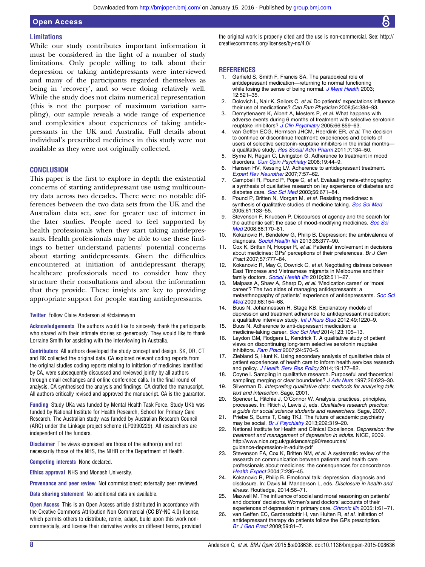#### **Limitations**

While our study contributes important information it must be considered in the light of a number of study limitations. Only people willing to talk about their depression or taking antidepressants were interviewed and many of the participants regarded themselves as being in 'recovery', and so were doing relatively well. While the study does not claim numerical representation (this is not the purpose of maximum variation sampling), our sample reveals a wide range of experience and complexities about experiences of taking antidepressants in the UK and Australia. Full details about individual's prescribed medicines in this study were not available as they were not originally collected.

#### **CONCLUSION**

This paper is the first to explore in depth the existential concerns of starting antidepressant use using multicountry data across two decades. There were no notable differences between the two data sets from the UK and the Australian data set, save for greater use of internet in the later studies. People need to feel supported by health professionals when they start taking antidepressants. Health professionals may be able to use these findings to better understand patients' potential concerns about starting antidepressants. Given the difficulties encountered at initiation of antidepressant therapy, healthcare professionals need to consider how they structure their consultations and about the information that they provide. These insights are key to providing appropriate support for people starting antidepressants.

#### Twitter Follow Claire Anderson at [@clairewynn](http://twitter.com/clairewynn)

Acknowledgements The authors would like to sincerely thank the participants who shared with their intimate stories so generously. They would like to thank Lorraine Smith for assisting with the interviewing in Australia.

Contributors All authors developed the study concept and design. SK, DR, CT and RK collected the original data. CA explored relevant coding reports from the original studies coding reports relating to initiation of medicines identified by CA, were subsequently discussed and reviewed jointly by all authors through email exchanges and online conference calls. In the final round of analysis, CA synthesised the analysis and findings. CA drafted the manuscript. All authors critically revised and approved the manuscript. CA is the guarantor.

Funding Study UKa was funded by Mental Health Task Force. Study UKb was funded by National Institute for Health Research, School for Primary Care Research. The Australian study was funded by Australian Research Council (ARC) under the Linkage project scheme (LP0990229). All researchers are independent of the funders.

Disclaimer The views expressed are those of the author(s) and not necessarily those of the NHS, the NIHR or the Department of Health.

Competing interests None declared.

Ethics approval NHS and Monash University.

Provenance and peer review Not commissioned; externally peer reviewed.

Data sharing statement No additional data are available.

**Open Access** This is an Open Access article distributed in accordance with the Creative Commons Attribution Non Commercial (CC BY-NC 4.0) license, which permits others to distribute, remix, adapt, build upon this work noncommercially, and license their derivative works on different terms, provided the original work is properly cited and the use is non-commercial. See: [http://](http://creativecommons.org/licenses/by-nc/4.0/) [creativecommons.org/licenses/by-nc/4.0/](http://creativecommons.org/licenses/by-nc/4.0/)

#### **REFERENCES**

- 1. Garfield S, Smith F, Francis SA. The paradoxical role of antidepressant medication—returning to normal functioning while losing the sense of being normal. [J Ment Health](http://dx.doi.org/10.1080/09638230310001603582) 2003; 12:521–35.
- 2. Dolovich L, Nair K, Sellors C, et al. Do patients' expectations influence their use of medications? Can Fam Physician 2008;54:384–93.
- Demyttenaere K, Albert A, Mesters P, et al. What happens with adverse events during 6 months of treatment with selective serotonin reuptake inhibitors? [J Clin Psychiatry](http://dx.doi.org/10.4088/JCP.v66n0708) 2005;66:859-63.
- 4. van Geffen ECG, Hermsen JHCM, Heerdink ER, et al. The decision to continue or discontinue treatment: experiences and beliefs of users of selective serotonin-reuptake inhibitors in the initial months a qualitative study. [Res Social Adm Pharm](http://dx.doi.org/10.1016/j.sapharm.2010.04.001) 2011;7:134–50.
- 5. Byrne N, Regan C, Livingston G. Adherence to treatment in mood disorders. [Curr Opin Psychiatry](http://dx.doi.org/10.1097/01.yco.0000191501.54034.7c) 2006;19:44-9.
- 6. Hansen HV, Kessing LV. Adherence to antidepressant treatment. [Expert Rev Neurother](http://dx.doi.org/10.1586/14737175.7.1.57) 2007;7:57–62.
- 7. Campbell R, Pound P, Pope C, et al. Evaluating meta-ethnography: a synthesis of qualitative research on lay experience of diabetes and diabetes care. [Soc Sci Med](http://dx.doi.org/10.1016/S0277-9536(02)00064-3) 2003;56:671-84.
- 8. Pound P, Britten N, Morgan M, et al. Resisting medicines: a synthesis of qualitative studies of medicine taking. [Soc Sci Med](http://dx.doi.org/10.1016/j.socscimed.2004.11.063) 2005;61:133–55.
- 9. Stevenson F, Knudsen P. Discourses of agency and the search for the authentic self: the case of mood-modifying medicines. [Soc Sci](http://dx.doi.org/10.1016/j.socscimed.2007.07.005) [Med](http://dx.doi.org/10.1016/j.socscimed.2007.07.005) 2008;66:170–81.
- 10. Kokanovic R, Bendelow G, Philip B. Depression: the ambivalence of diagnosis. [Sociol Health Illn](http://dx.doi.org/10.1111/j.1467-9566.2012.01486.x) 2013;35:377-90.
- 11. Cox K, Britten N, Hooper R, et al. Patients' involvement in decisions about medicines: GPs' perceptions of their preferences. Br J Gen Pract 2007;57:777–84.
- 12. Kokanovic R, May C, Dowrick C, et al. Negotiating distress between East Timorese and Vietnamese migrants in Melbourne and their family doctors. [Sociol Health Illn](http://dx.doi.org/10.1111/j.1467-9566.2009.01228.x) 2010;32:511-27.
- 13. Malpass A, Shaw A, Sharp D, et al. 'Medication career' or 'moral career'? The two sides of managing antidepressants: a metaethnography of patients' experience of antidepressants. [Soc Sci](http://dx.doi.org/10.1016/j.socscimed.2008.09.068) [Med](http://dx.doi.org/10.1016/j.socscimed.2008.09.068) 2009;68:154–68.
- 14. Buus N, Johannessen H, Stage KB. Explanatory models of depression and treatment adherence to antidepressant medication: a qualitative interview study. [Int J Nurs Stud](http://dx.doi.org/10.1016/j.ijnurstu.2012.04.012) 2012;49:1220-9.
- 15. Buus N. Adherence to anti-depressant medication: a medicine-taking career. [Soc Sci Med](http://dx.doi.org/10.1016/j.socscimed.2014.11.010) 2014;123:105-13.
- 16. Leydon GM, Rodgers L, Kendrick T. A qualitative study of patient views on discontinuing long-term selective serotonin reuptake inhibitors. [Fam Pract](http://dx.doi.org/10.1093/fampra/cmm069) 2007;24:570-5.
- 17. Ziebland S, Hunt K. Using secondary analysis of qualitative data of patient experiences of health care to inform health services research and policy. [J Health Serv Res Policy](http://dx.doi.org/10.1177/1355819614524187) 2014;19:177–82.
- 18. Coyne I. Sampling in qualitative research. Purposeful and theoretical sampling; merging or clear boundaries? [J Adv Nurs](http://dx.doi.org/10.1046/j.1365-2648.1997.t01-25-00999.x) 1997;26:623-30.
- 19. Silverman D. Interpreting qualitative data: methods for analysing talk, text and interaction. Sage, 2001.
- 20. Spencer L, Ritchie J, O'Connor W. Analysis, practices, principles, processes. In: Ritich J, Lewis J, eds. Qualitative research practice: a guide for social science students and researchers. Sage, 2007.
- 21. Priebe S, Burns T, Craig TKJ. The future of academic psychiatry may be social. [Br J Psychiatry](http://dx.doi.org/10.1192/bjp.bp.112.116905) 2013;202:319-20.
- 22. National Institute for Health and Clinical Excellence. Depression: the treatment and management of depression in adults. NICE, 2009. [http://www.nice.org.uk/guidance/cg90/resources/](http://www.nice.org.uk/guidance/cg90/resources/guidance-depression-in-adults-pdf) [guidance-depression-in-adults-pdf](http://www.nice.org.uk/guidance/cg90/resources/guidance-depression-in-adults-pdf)
- 23. Stevenson FA, Cox K, Britten NM, et al. A systematic review of the research on communication between patients and health care professionals about medicines: the consequences for concordance. [Health Expect](http://dx.doi.org/10.1111/j.1369-7625.2004.00281.x) 2004;7:235–45.
- 24. Kokanovic R, Philip B. Emotional talk: depression, diagnosis and disclosure. In: Davis M, Manderson L, eds. Disclosure in health and illness. Routledge, 2014:56–71.
- 25. Maxwell M. The influence of social and moral reasoning on patients' and doctors' decisions. Women's and doctors' accounts of their experiences of depression in primary care. Chronic IIIn 2005;1:61-71.
- 26. van Geffen EC, Gardarsdottir H, van Hulten R, et al. Initiation of antidepressant therapy do patients follow the GPs prescription. [Br J Gen Pract](http://dx.doi.org/10.3399/bjgp09X395067) 2009;59:81–7.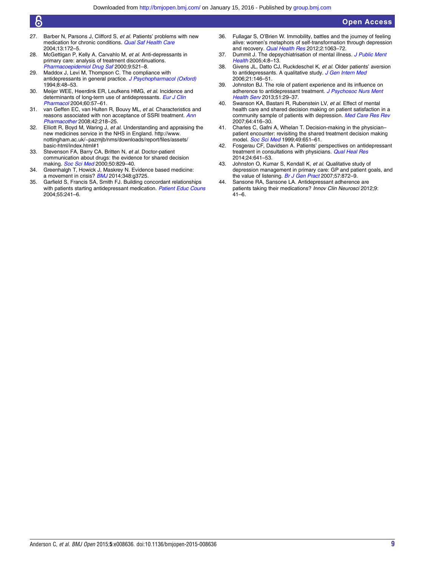### 6

- 27. Barber N, Parsons J, Clifford S, et al. Patients' problems with new medication for chronic conditions. [Qual Saf Health Care](http://dx.doi.org/10.1136/qhc.13.3.172) 2004;13:172–5.
- 28. McGettigan P, Kelly A, Carvahlo M, et al. Anti-depressants in primary care: analysis of treatment discontinuations. [Pharmacoepidemiol Drug Saf](http://dx.doi.org/10.1002/1099-1557(200011)9:6<521::AID-PDS525>3.0.CO;2-K) 2000;9:521–8.
- 29. Maddox J, Levi M, Thompson C. The compliance with antidepressants in general practice. [J Psychopharmacol \(Oxford\)](http://dx.doi.org/10.1177/026988119400800108) 1994;8:48–53.
- 30. Meijer WEE, Heerdink ER, Leufkens HMG, et al. Incidence and determinants of long-term use of antidepressants. [Eur J Clin](http://dx.doi.org/10.1007/s00228-004-0726-3) [Pharmacol](http://dx.doi.org/10.1007/s00228-004-0726-3) 2004;60:57–61.
- 31. van Geffen EC, van Hulten R, Bouvy ML, et al. Characteristics and reasons associated with non acceptance of SSRI treatment. [Ann](http://dx.doi.org/10.1345/aph.1K516) [Pharmacother](http://dx.doi.org/10.1345/aph.1K516) 2008;42:218–25.
- 32. Elliott R, Boyd M, Waring J, et al. Understanding and appraising the new medicines service in the NHS in England. [http://www.](http://www.nottingham.ac.uk/~pazmjb/nms/downloads/report/files/assets/basic-html/index.html#1) [nottingham.ac.uk/~pazmjb/nms/downloads/report/files/assets/](http://www.nottingham.ac.uk/~pazmjb/nms/downloads/report/files/assets/basic-html/index.html#1) [basic-html/index.html#1](http://www.nottingham.ac.uk/~pazmjb/nms/downloads/report/files/assets/basic-html/index.html#1)
- 33. Stevenson FA, Barry CA, Britten N, et al. Doctor-patient communication about drugs: the evidence for shared decision making. [Soc Sci Med](http://dx.doi.org/10.1016/S0277-9536(99)00376-7) 2000;50:829-40.
- 34. Greenhalgh T, Howick J, Maskrey N. Evidence based medicine: a movement in crisis? **[BMJ](http://dx.doi.org/10.1136/bmj.g3725)** 2014:348:q3725.
- 35. Garfield S, Francis SA, Smith FJ. Building concordant relationships with patients starting antidepressant medication. [Patient Educ Couns](http://dx.doi.org/10.1016/j.pec.2003.09.011) 2004;55:241–6.
- 36. Fullagar S, O'Brien W. Immobility, battles and the journey of feeling alive: women's metaphors of self-transformation through depression and recovery. [Qual Health Res](http://dx.doi.org/10.1177/1049732312443738) 2012;2:1063-72.
- 37. Dummit J. The depsychiatrisation of mental illness. [J Public Ment](http://dx.doi.org/10.1108/17465729200500019) [Health](http://dx.doi.org/10.1108/17465729200500019) 2005;4:8-13.
- 38. Givens JL, Datto CJ, Ruckdeschel K, et al. Older patients' aversion to antidepressants. A qualitative study. [J Gen Intern Med](http://dx.doi.org/10.1111/j.1525-1497.2005.00296.x) 2006;21:146–51.
- 39. Johnston BJ. The role of patient experience and its influence on adherence to antidepressant treatment. [J Psychosoc Nurs Ment](http://dx.doi.org/10.3928/02793695-20130930-04) [Health Serv](http://dx.doi.org/10.3928/02793695-20130930-04) 2013;51:29–37.
- 40. Swanson KA, Bastani R, Rubenstein LV, et al. Effect of mental health care and shared decision making on patient satisfaction in a community sample of patients with depression. [Med Care Res Rev](http://dx.doi.org/10.1177/1077558707299479) 2007;64:416–30.
- 41. Charles C, Gafni A, Whelan T. Decision-making in the physician– patient encounter: revisiting the shared treatment decision making model. [Soc Sci Med](http://dx.doi.org/10.1016/S0277-9536(99)00145-8) 1999;49:651-61.
- 42. Fosgerau CF, Davidsen A. Patients' perspectives on antidepressant treatment in consultations with physicians. [Qual Heal Res](http://dx.doi.org/10.1177/1049732314528813) 2014;24:641–53.
- 43. Johnston O, Kumar S, Kendall K, et al. Qualitative study of depression management in primary care: GP and patient goals, and the value of listening. [Br J Gen Pract](http://dx.doi.org/10.3399/096016407782318026) 2007:57:872-9.
- 44. Sansone RA, Sansone LA. Antidepressant adherence are patients taking their medications? Innov Clin Neurosci 2012;9:  $41 - 6$ .